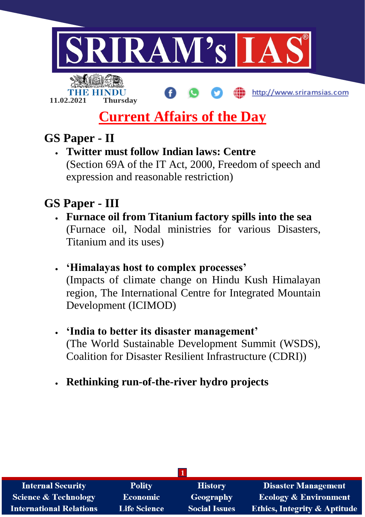

# **Current Affairs of the Day**

# **GS Paper - II**

**11.02.2021 Thursday**

 **Twitter must follow Indian laws: Centre** (Section 69A of the IT Act, 2000, Freedom of speech and expression and reasonable restriction)

# **GS Paper - III**

- **Furnace oil from Titanium factory spills into the sea** (Furnace oil, Nodal ministries for various Disasters, Titanium and its uses)
- **'Himalayas host to complex processes'** (Impacts of climate change on Hindu Kush Himalayan region, The International Centre for Integrated Mountain Development (ICIMOD)
- **'India to better its disaster management'** (The World Sustainable Development Summit (WSDS), Coalition for Disaster Resilient Infrastructure (CDRI))
- **Rethinking run-of-the-river hydro projects**

| <b>Internal Security</b>        | <b>Polity</b>       | <b>History</b>       | <b>Disaster Management</b>              |  |
|---------------------------------|---------------------|----------------------|-----------------------------------------|--|
| <b>Science &amp; Technology</b> | <b>Economic</b>     | Geography            | <b>Ecology &amp; Environment</b>        |  |
| <b>International Relations</b>  | <b>Life Science</b> | <b>Social Issues</b> | <b>Ethics, Integrity &amp; Aptitude</b> |  |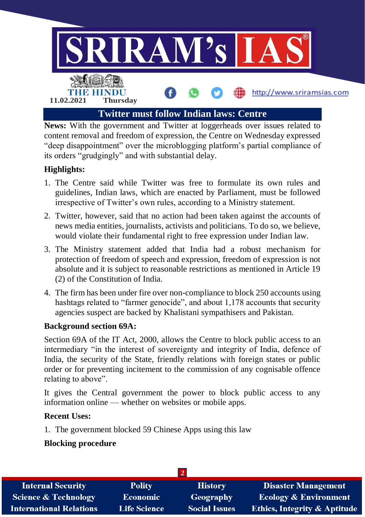

**News:** With the government and Twitter at loggerheads over issues related to content removal and freedom of expression, the Centre on Wednesday expressed "deep disappointment" over the microblogging platform's partial compliance of its orders "grudgingly" and with substantial delay.

# **Highlights:**

- 1. The Centre said while Twitter was free to formulate its own rules and guidelines, Indian laws, which are enacted by Parliament, must be followed irrespective of Twitter's own rules, according to a Ministry statement.
- 2. Twitter, however, said that no action had been taken against the accounts of news media entities, journalists, activists and politicians. To do so, we believe, would violate their fundamental right to free expression under Indian law.
- 3. The Ministry statement added that India had a robust mechanism for protection of freedom of speech and expression, freedom of expression is not absolute and it is subject to reasonable restrictions as mentioned in Article 19 (2) of the Constitution of India.
- 4. The firm has been under fire over non-compliance to block 250 accounts using hashtags related to "farmer genocide", and about 1,178 accounts that security agencies suspect are backed by Khalistani sympathisers and Pakistan.

#### **Background section 69A:**

Section 69A of the IT Act, 2000, allows the Centre to block public access to an intermediary "in the interest of sovereignty and integrity of India, defence of India, the security of the State, friendly relations with foreign states or public order or for preventing incitement to the commission of any cognisable offence relating to above".

It gives the Central government the power to block public access to any information online — whether on websites or mobile apps.

#### **Recent Uses:**

1. The government blocked 59 Chinese Apps using this law

#### **Blocking procedure**

| <b>Internal Security</b>        | <b>Polity</b>       | <b>History</b>       | <b>Disaster Management</b>              |
|---------------------------------|---------------------|----------------------|-----------------------------------------|
| <b>Science &amp; Technology</b> | Economic            | Geography            | <b>Ecology &amp; Environment</b>        |
| <b>International Relations</b>  | <b>Life Science</b> | <b>Social Issues</b> | <b>Ethics, Integrity &amp; Aptitude</b> |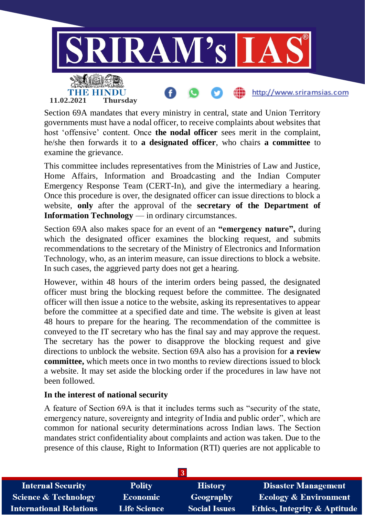

Section 69A mandates that every ministry in central, state and Union Territory governments must have a nodal officer, to receive complaints about websites that host 'offensive' content. Once **the nodal officer** sees merit in the complaint, he/she then forwards it to **a designated officer**, who chairs **a committee** to examine the grievance.

This committee includes representatives from the Ministries of Law and Justice, Home Affairs, Information and Broadcasting and the Indian Computer Emergency Response Team (CERT-In), and give the intermediary a hearing. Once this procedure is over, the designated officer can issue directions to block a website, **only** after the approval of the **secretary of the Department of Information Technology** — in ordinary circumstances.

Section 69A also makes space for an event of an **"emergency nature",** during which the designated officer examines the blocking request, and submits recommendations to the secretary of the Ministry of Electronics and Information Technology, who, as an interim measure, can issue directions to block a website. In such cases, the aggrieved party does not get a hearing.

However, within 48 hours of the interim orders being passed, the designated officer must bring the blocking request before the committee. The designated officer will then issue a notice to the website, asking its representatives to appear before the committee at a specified date and time. The website is given at least 48 hours to prepare for the hearing. The recommendation of the committee is conveyed to the IT secretary who has the final say and may approve the request. The secretary has the power to disapprove the blocking request and give directions to unblock the website. Section 69A also has a provision for **a review committee,** which meets once in two months to review directions issued to block a website. It may set aside the blocking order if the procedures in law have not been followed.

#### **In the interest of national security**

A feature of Section 69A is that it includes terms such as "security of the state, emergency nature, sovereignty and integrity of India and public order", which are common for national security determinations across Indian laws. The Section mandates strict confidentiality about complaints and action was taken. Due to the presence of this clause, Right to Information (RTI) queries are not applicable to

| <b>Internal Security</b>        | <b>Polity</b>       | <b>History</b>       | <b>Disaster Management</b>              |
|---------------------------------|---------------------|----------------------|-----------------------------------------|
| <b>Science &amp; Technology</b> | <b>Economic</b>     | Geography            | <b>Ecology &amp; Environment</b>        |
| <b>International Relations</b>  | <b>Life Science</b> | <b>Social Issues</b> | <b>Ethics, Integrity &amp; Aptitude</b> |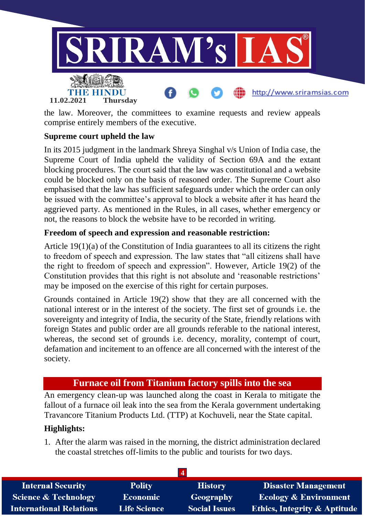

the law. Moreover, the committees to examine requests and review appeals comprise entirely members of the executive.

#### **Supreme court upheld the law**

In its 2015 judgment in the landmark Shreya Singhal v/s Union of India case, the Supreme Court of India upheld the validity of Section 69A and the extant blocking procedures. The court said that the law was constitutional and a website could be blocked only on the basis of reasoned order. The Supreme Court also emphasised that the law has sufficient safeguards under which the order can only be issued with the committee's approval to block a website after it has heard the aggrieved party. As mentioned in the Rules, in all cases, whether emergency or not, the reasons to block the website have to be recorded in writing.

#### **Freedom of speech and expression and reasonable restriction:**

Article 19(1)(a) of the Constitution of India guarantees to all its citizens the right to freedom of speech and expression. The law states that "all citizens shall have the right to freedom of speech and expression". However, Article 19(2) of the Constitution provides that this right is not absolute and 'reasonable restrictions' may be imposed on the exercise of this right for certain purposes.

Grounds contained in Article 19(2) show that they are all concerned with the national interest or in the interest of the society. The first set of grounds i.e. the sovereignty and integrity of India, the security of the State, friendly relations with foreign States and public order are all grounds referable to the national interest, whereas, the second set of grounds i.e. decency, morality, contempt of court, defamation and incitement to an offence are all concerned with the interest of the society.

# **Furnace oil from Titanium factory spills into the sea**

An emergency clean-up was launched along the coast in Kerala to mitigate the fallout of a furnace oil leak into the sea from the Kerala government undertaking Travancore Titanium Products Ltd. (TTP) at Kochuveli, near the State capital.

#### **Highlights:**

1. After the alarm was raised in the morning, the district administration declared the coastal stretches off-limits to the public and tourists for two days.

| <b>Internal Security</b>        | <b>Polity</b>       | <b>History</b>       | <b>Disaster Management</b>              |
|---------------------------------|---------------------|----------------------|-----------------------------------------|
| <b>Science &amp; Technology</b> | <b>Economic</b>     | Geography            | <b>Ecology &amp; Environment</b>        |
| <b>International Relations</b>  | <b>Life Science</b> | <b>Social Issues</b> | <b>Ethics, Integrity &amp; Aptitude</b> |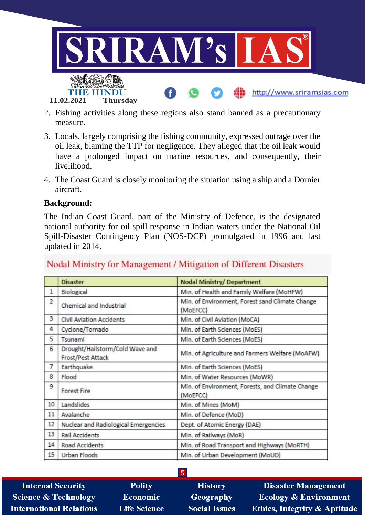

- 2. Fishing activities along these regions also stand banned as a precautionary measure.
- 3. Locals, largely comprising the fishing community, expressed outrage over the oil leak, blaming the TTP for negligence. They alleged that the oil leak would have a prolonged impact on marine resources, and consequently, their livelihood.
- 4. The Coast Guard is closely monitoring the situation using a ship and a Dornier aircraft.

#### **Background:**

The Indian Coast Guard, part of the Ministry of Defence, is the designated national authority for oil spill response in Indian waters under the National Oil Spill-Disaster Contingency Plan (NOS-DCP) promulgated in 1996 and last updated in 2014.

# Nodal Ministry for Management / Mitigation of Different Disasters

|              | <b>Disaster</b>                                      | <b>Nodal Ministry/ Department</b>                            |
|--------------|------------------------------------------------------|--------------------------------------------------------------|
| $\mathbf{1}$ | Biological                                           | Min. of Health and Family Welfare (MoHFW)                    |
| 2            | Chemical and Industrial                              | Min. of Environment, Forest sand Climate Change<br>(MoEFCC)  |
| 3            | <b>Civil Aviation Accidents</b>                      | Min. of Civil Aviation (MoCA)                                |
| 4            | Cyclone/Tornado                                      | Min. of Earth Sciences (MoES)                                |
| 5            | Tsunami                                              | Min. of Earth Sciences (MoES)                                |
| 6            | Drought/Hailstorm/Cold Wave and<br>Frost/Pest Attack | Min. of Agriculture and Farmers Welfare (MoAFW)              |
| 7            | Earthquake                                           | Min. of Earth Sciences (MoES)                                |
| 8            | Flood                                                | Min. of Water Resources (MoWR)                               |
| 9            | <b>Forest Fire</b>                                   | Min. of Environment, Forests, and Climate Change<br>(MoEFCC) |
| 10           | Landslides                                           | Min. of Mines (MoM)                                          |
| 11           | Avalanche                                            | Min. of Defence (MoD)                                        |
| 12           | Nuclear and Radiological Emergencies                 | Dept. of Atomic Energy (DAE)                                 |
| 13           | Rail Accidents                                       | Min. of Railways (MoR)                                       |
| 14           | Road Accidents                                       | Min. of Road Transport and Highways (MoRTH)                  |
| 15           | Urban Floods                                         | Min. of Urban Development (MoUD)                             |

**Internal Security Science & Technology International Relations** 

**Polity Economic Life Science** 

**History** Geography

**Social Issues** 

**5**

**Disaster Management Ecology & Environment** Ethics, Integrity & Aptitude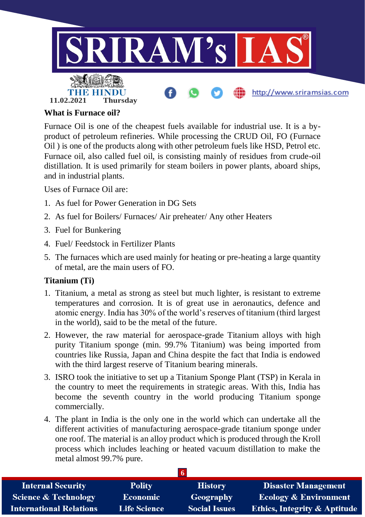

#### **What is Furnace oil?**

Furnace Oil is one of the cheapest fuels available for industrial use. It is a byproduct of petroleum refineries. While processing the CRUD Oil, FO (Furnace Oil ) is one of the products along with other petroleum fuels like HSD, Petrol etc. Furnace oil, also called fuel oil, is consisting mainly of residues from crude-oil distillation. It is used primarily for steam boilers in power plants, aboard ships, and in industrial plants.

Uses of Furnace Oil are:

- 1. As fuel for Power Generation in DG Sets
- 2. As fuel for Boilers/ Furnaces/ Air preheater/ Any other Heaters
- 3. Fuel for Bunkering
- 4. Fuel/ Feedstock in Fertilizer Plants
- 5. The furnaces which are used mainly for heating or pre-heating a large quantity of metal, are the main users of FO.

#### **Titanium (Ti)**

- 1. Titanium, a metal as strong as steel but much lighter, is resistant to extreme temperatures and corrosion. It is of great use in aeronautics, defence and atomic energy. India has 30% of the world's reserves of titanium (third largest in the world), said to be the metal of the future.
- 2. However, the raw material for aerospace-grade Titanium alloys with high purity Titanium sponge (min. 99.7% Titanium) was being imported from countries like Russia, Japan and China despite the fact that India is endowed with the third largest reserve of Titanium bearing minerals.
- 3. ISRO took the initiative to set up a Titanium Sponge Plant (TSP) in Kerala in the country to meet the requirements in strategic areas. With this, India has become the seventh country in the world producing Titanium sponge commercially.
- 4. The plant in India is the only one in the world which can undertake all the different activities of manufacturing aerospace-grade titanium sponge under one roof. The material is an alloy product which is produced through the Kroll process which includes leaching or heated vacuum distillation to make the metal almost 99.7% pure.

| <b>Internal Security</b>        | <b>Polity</b>       | <b>History</b>       | <b>Disaster Management</b>              |
|---------------------------------|---------------------|----------------------|-----------------------------------------|
| <b>Science &amp; Technology</b> | <b>Economic</b>     | Geography            | <b>Ecology &amp; Environment</b>        |
| <b>International Relations</b>  | <b>Life Science</b> | <b>Social Issues</b> | <b>Ethics, Integrity &amp; Aptitude</b> |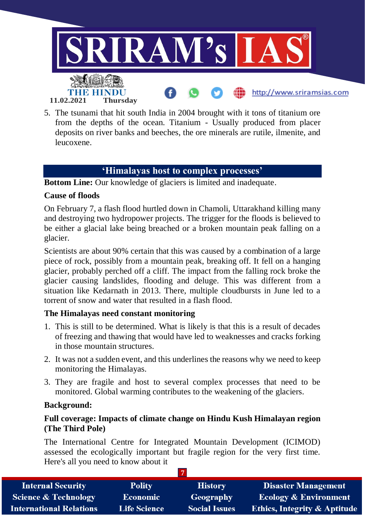

5. The tsunami that hit south India in 2004 brought with it tons of titanium ore from the depths of the ocean. Titanium - Usually produced from placer deposits on river banks and beeches, the ore minerals are rutile, ilmenite, and leucoxene.

# **'Himalayas host to complex processes'**

**Bottom Line:** Our knowledge of glaciers is limited and inadequate.

#### **Cause of floods**

On February 7, a flash flood hurtled down in Chamoli, Uttarakhand killing many and destroying two hydropower projects. The trigger for the floods is believed to be either a glacial lake being breached or a broken mountain peak falling on a glacier.

Scientists are about 90% certain that this was caused by a combination of a large piece of rock, possibly from a mountain peak, breaking off. It fell on a hanging glacier, probably perched off a cliff. The impact from the falling rock broke the glacier causing landslides, flooding and deluge. This was different from a situation like Kedarnath in 2013. There, multiple cloudbursts in June led to a torrent of snow and water that resulted in a flash flood.

#### **The Himalayas need constant monitoring**

- 1. This is still to be determined. What is likely is that this is a result of decades of freezing and thawing that would have led to weaknesses and cracks forking in those mountain structures.
- 2. It was not a sudden event, and this underlines the reasons why we need to keep monitoring the Himalayas.
- 3. They are fragile and host to several complex processes that need to be monitored. Global warming contributes to the weakening of the glaciers.

#### **Background:**

# **Full coverage: Impacts of climate change on Hindu Kush Himalayan region (The Third Pole)**

The International Centre for Integrated Mountain Development (ICIMOD) assessed the ecologically important but fragile region for the very first time. Here's all you need to know about it

| <b>Internal Security</b>        | <b>Polity</b>       | <b>History</b>       | <b>Disaster Management</b>              |
|---------------------------------|---------------------|----------------------|-----------------------------------------|
| <b>Science &amp; Technology</b> | <b>Economic</b>     | Geography            | <b>Ecology &amp; Environment</b>        |
| <b>International Relations</b>  | <b>Life Science</b> | <b>Social Issues</b> | <b>Ethics, Integrity &amp; Aptitude</b> |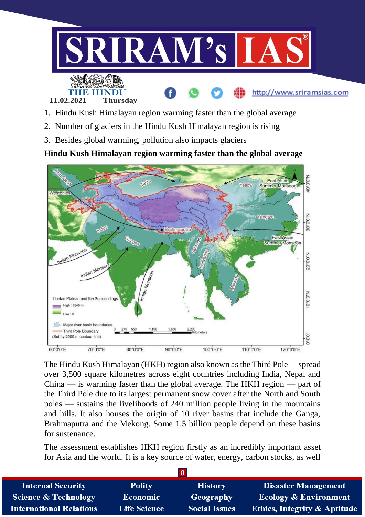

- 1. Hindu Kush Himalayan region warming faster than the global average
- 2. Number of glaciers in the Hindu Kush Himalayan region is rising
- 3. Besides global warming, pollution also impacts glaciers

**Hindu Kush Himalayan region warming faster than the global average**



The Hindu Kush Himalayan (HKH) region also known as the Third Pole— spread over 3,500 square kilometres across eight countries including India, Nepal and China — is warming faster than the global average. The HKH region — part of the Third Pole due to its largest permanent snow cover after the North and South poles — sustains the livelihoods of 240 million people living in the mountains and hills. It also houses the origin of 10 river basins that include the Ganga, Brahmaputra and the Mekong. Some 1.5 billion people depend on these basins for sustenance.

The assessment establishes HKH region firstly as an incredibly important asset for Asia and the world. It is a key source of water, energy, carbon stocks, as well

| <b>Internal Security</b>        | <b>Polity</b>       | <b>History</b>       | <b>Disaster Management</b>              |
|---------------------------------|---------------------|----------------------|-----------------------------------------|
| <b>Science &amp; Technology</b> | <b>Economic</b>     | Geography            | <b>Ecology &amp; Environment</b>        |
| <b>International Relations</b>  | <b>Life Science</b> | <b>Social Issues</b> | <b>Ethics, Integrity &amp; Aptitude</b> |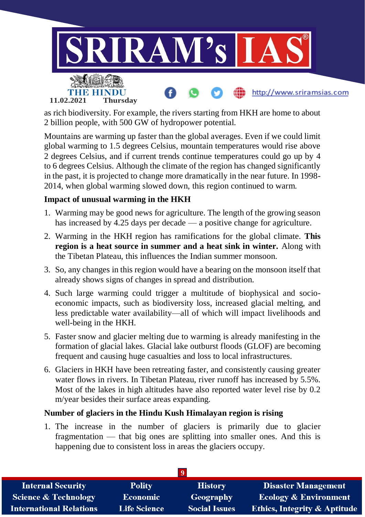

as rich biodiversity. For example, the rivers starting from HKH are home to about 2 billion people, with 500 GW of hydropower potential.

Mountains are warming up faster than the global averages. Even if we could limit global warming to 1.5 degrees Celsius, mountain temperatures would rise above 2 degrees Celsius, and if current trends continue temperatures could go up by 4 to 6 degrees Celsius. Although the climate of the region has changed significantly in the past, it is projected to change more dramatically in the near future. In 1998- 2014, when global warming slowed down, this region continued to warm.

# **Impact of unusual warming in the HKH**

- 1. Warming may be good news for agriculture. The length of the growing season has increased by 4.25 days per decade — a positive change for agriculture.
- 2. Warming in the HKH region has ramifications for the global climate. **This region is a heat source in summer and a heat sink in winter.** Along with the Tibetan Plateau, this influences the Indian summer monsoon.
- 3. So, any changes in this region would have a bearing on the monsoon itself that already shows signs of changes in spread and distribution.
- 4. Such large warming could trigger a multitude of biophysical and socioeconomic impacts, such as biodiversity loss, increased glacial melting, and less predictable water availability—all of which will impact livelihoods and well-being in the HKH.
- 5. Faster snow and glacier melting due to warming is already manifesting in the formation of glacial lakes. Glacial lake outburst floods (GLOF) are becoming frequent and causing huge casualties and loss to local infrastructures.
- 6. Glaciers in HKH have been retreating faster, and consistently causing greater water flows in rivers. In Tibetan Plateau, river runoff has increased by 5.5%. Most of the lakes in high altitudes have also reported water level rise by 0.2 m/year besides their surface areas expanding.

# **Number of glaciers in the Hindu Kush Himalayan region is rising**

1. The increase in the number of glaciers is primarily due to glacier fragmentation — that big ones are splitting into smaller ones. And this is happening due to consistent loss in areas the glaciers occupy.

| <b>Internal Security</b>        | <b>Polity</b>       | <b>History</b>       | Disaster Management                     |
|---------------------------------|---------------------|----------------------|-----------------------------------------|
| <b>Science &amp; Technology</b> | <b>Economic</b>     | Geography            | <b>Ecology &amp; Environment</b>        |
| <b>International Relations</b>  | <b>Life Science</b> | <b>Social Issues</b> | <b>Ethics, Integrity &amp; Aptitude</b> |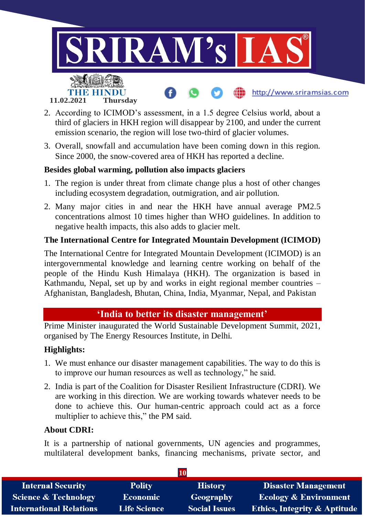

- 2. According to ICIMOD's assessment, in a 1.5 degree Celsius world, about a third of glaciers in HKH region will disappear by 2100, and under the current emission scenario, the region will lose two-third of glacier volumes.
- 3. Overall, snowfall and accumulation have been coming down in this region. Since 2000, the snow-covered area of HKH has reported a decline.

#### **Besides global warming, pollution also impacts glaciers**

- 1. The region is under threat from climate change plus a host of other changes including ecosystem degradation, outmigration, and air pollution.
- 2. Many major cities in and near the HKH have annual average PM2.5 concentrations almost 10 times higher than WHO guidelines. In addition to negative health impacts, this also adds to glacier melt.

# **The International Centre for Integrated Mountain Development (ICIMOD)**

The International Centre for Integrated Mountain Development (ICIMOD) is an intergovernmental knowledge and learning centre working on behalf of the people of the Hindu Kush Himalaya (HKH). The organization is based in Kathmandu, Nepal, set up by and works in eight regional member countries – Afghanistan, Bangladesh, Bhutan, China, India, Myanmar, Nepal, and Pakistan

# **'India to better its disaster management'**

Prime Minister inaugurated the World Sustainable Development Summit, 2021, organised by The Energy Resources Institute, in Delhi.

#### **Highlights:**

- 1. We must enhance our disaster management capabilities. The way to do this is to improve our human resources as well as technology," he said.
- 2. India is part of the Coalition for Disaster Resilient Infrastructure (CDRI). We are working in this direction. We are working towards whatever needs to be done to achieve this. Our human-centric approach could act as a force multiplier to achieve this," the PM said.

#### **About CDRI:**

It is a partnership of national governments, UN agencies and programmes, multilateral development banks, financing mechanisms, private sector, and

| <b>Internal Security</b>        | <b>Polity</b>       | <b>History</b>       | <b>Disaster Management</b>              |
|---------------------------------|---------------------|----------------------|-----------------------------------------|
| <b>Science &amp; Technology</b> | <b>Economic</b>     | Geography            | <b>Ecology &amp; Environment</b>        |
| <b>International Relations</b>  | <b>Life Science</b> | <b>Social Issues</b> | <b>Ethics, Integrity &amp; Aptitude</b> |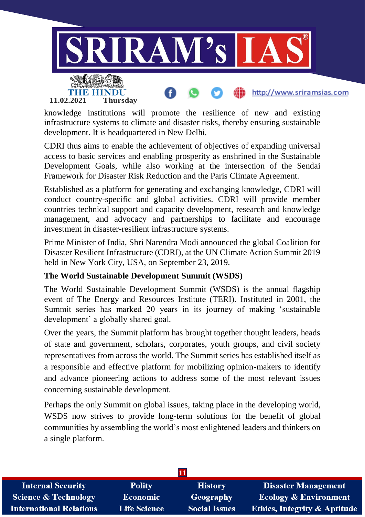

knowledge institutions will promote the resilience of new and existing infrastructure systems to climate and disaster risks, thereby ensuring sustainable development. It is headquartered in New Delhi.

CDRI thus aims to enable the achievement of objectives of expanding universal access to basic services and enabling prosperity as enshrined in the Sustainable Development Goals, while also working at the intersection of the Sendai Framework for Disaster Risk Reduction and the Paris Climate Agreement.

Established as a platform for generating and exchanging knowledge, CDRI will conduct country-specific and global activities. CDRI will provide member countries technical support and capacity development, research and knowledge management, and advocacy and partnerships to facilitate and encourage investment in disaster-resilient infrastructure systems.

Prime Minister of India, Shri Narendra Modi announced the global Coalition for Disaster Resilient Infrastructure (CDRI), at the UN Climate Action Summit 2019 held in New York City, USA, on September 23, 2019.

# **The World Sustainable Development Summit (WSDS)**

The World Sustainable Development Summit (WSDS) is the annual flagship event of The Energy and Resources Institute (TERI). Instituted in 2001, the Summit series has marked 20 years in its journey of making 'sustainable development' a globally shared goal.

Over the years, the Summit platform has brought together thought leaders, heads of state and government, scholars, corporates, youth groups, and civil society representatives from across the world. The Summit series has established itself as a responsible and effective platform for mobilizing opinion-makers to identify and advance pioneering actions to address some of the most relevant issues concerning sustainable development.

Perhaps the only Summit on global issues, taking place in the developing world, WSDS now strives to provide long-term solutions for the benefit of global communities by assembling the world's most enlightened leaders and thinkers on a single platform.

| <b>Internal Security</b>        | <b>Polity</b>       | <b>History</b>       | <b>Disaster Management</b>              |
|---------------------------------|---------------------|----------------------|-----------------------------------------|
| <b>Science &amp; Technology</b> | Economic            | Geography            | <b>Ecology &amp; Environment</b>        |
| <b>International Relations</b>  | <b>Life Science</b> | <b>Social Issues</b> | <b>Ethics, Integrity &amp; Aptitude</b> |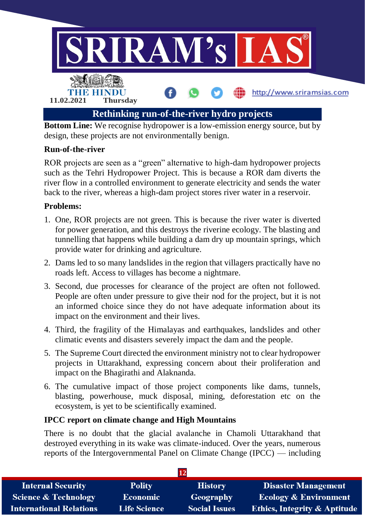

**Bottom Line:** We recognise hydropower is a low-emission energy source, but by design, these projects are not environmentally benign.

# **Run-of-the-river**

ROR projects are seen as a "green" alternative to high-dam hydropower projects such as the Tehri Hydropower Project. This is because a ROR dam diverts the river flow in a controlled environment to generate electricity and sends the water back to the river, whereas a high-dam project stores river water in a reservoir.

# **Problems:**

- 1. One, ROR projects are not green. This is because the river water is diverted for power generation, and this destroys the riverine ecology. The blasting and tunnelling that happens while building a dam dry up mountain springs, which provide water for drinking and agriculture.
- 2. Dams led to so many landslides in the region that villagers practically have no roads left. Access to villages has become a nightmare.
- 3. Second, due processes for clearance of the project are often not followed. People are often under pressure to give their nod for the project, but it is not an informed choice since they do not have adequate information about its impact on the environment and their lives.
- 4. Third, the fragility of the Himalayas and earthquakes, landslides and other climatic events and disasters severely impact the dam and the people.
- 5. The Supreme Court directed the environment ministry not to clear hydropower projects in Uttarakhand, expressing concern about their proliferation and impact on the Bhagirathi and Alaknanda.
- 6. The cumulative impact of those project components like dams, tunnels, blasting, powerhouse, muck disposal, mining, deforestation etc on the ecosystem, is yet to be scientifically examined.

# **IPCC report on climate change and High Mountains**

There is no doubt that the glacial avalanche in Chamoli Uttarakhand that destroyed everything in its wake was climate-induced. Over the years, numerous reports of the Intergovernmental Panel on Climate Change (IPCC) — including

| <b>Internal Security</b>        | <b>Polity</b>       | <b>History</b>       | <b>Disaster Management</b>              |
|---------------------------------|---------------------|----------------------|-----------------------------------------|
| <b>Science &amp; Technology</b> | <b>Economic</b>     | Geography            | <b>Ecology &amp; Environment</b>        |
| <b>International Relations</b>  | <b>Life Science</b> | <b>Social Issues</b> | <b>Ethics, Integrity &amp; Aptitude</b> |